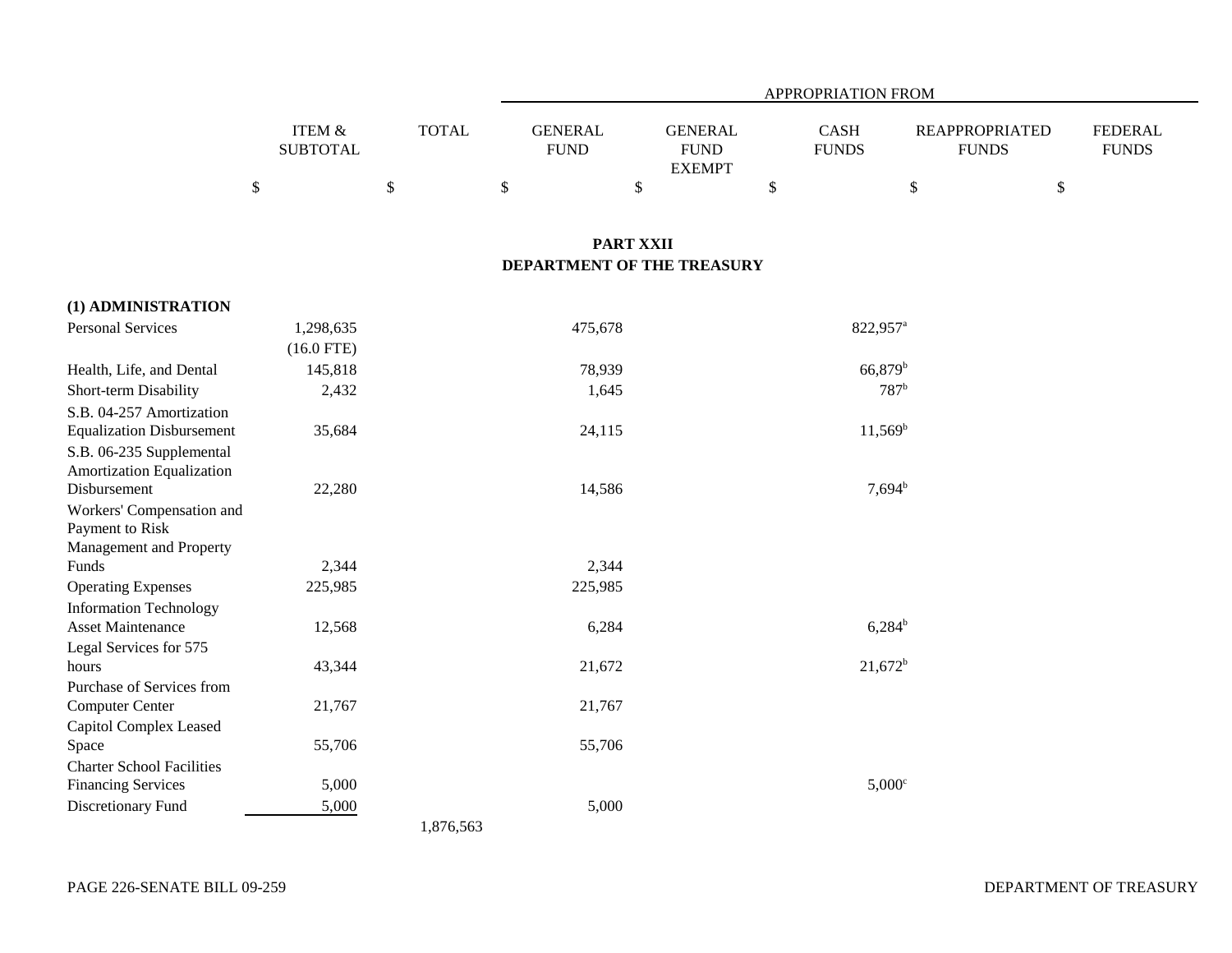|                                  |                                                      |                        | APPROPRIATION FROM                  |                                                      |                                   |                                             |                                      |  |
|----------------------------------|------------------------------------------------------|------------------------|-------------------------------------|------------------------------------------------------|-----------------------------------|---------------------------------------------|--------------------------------------|--|
|                                  | <b>ITEM &amp;</b><br><b>SUBTOTAL</b><br>$\mathbb{S}$ | <b>TOTAL</b><br>$\$\,$ | <b>GENERAL</b><br><b>FUND</b><br>\$ | <b>GENERAL</b><br><b>FUND</b><br><b>EXEMPT</b><br>\$ | <b>CASH</b><br><b>FUNDS</b><br>\$ | <b>REAPPROPRIATED</b><br><b>FUNDS</b><br>\$ | <b>FEDERAL</b><br><b>FUNDS</b><br>\$ |  |
|                                  |                                                      |                        |                                     |                                                      |                                   |                                             |                                      |  |
|                                  |                                                      |                        |                                     | <b>PART XXII</b>                                     |                                   |                                             |                                      |  |
|                                  |                                                      |                        |                                     | DEPARTMENT OF THE TREASURY                           |                                   |                                             |                                      |  |
| (1) ADMINISTRATION               |                                                      |                        |                                     |                                                      |                                   |                                             |                                      |  |
| <b>Personal Services</b>         | 1,298,635                                            |                        | 475,678                             |                                                      |                                   | 822,957 <sup>a</sup>                        |                                      |  |
|                                  | $(16.0$ FTE)                                         |                        |                                     |                                                      |                                   |                                             |                                      |  |
| Health, Life, and Dental         | 145,818                                              |                        | 78,939                              |                                                      |                                   | 66,879 <sup>b</sup>                         |                                      |  |
| Short-term Disability            | 2,432                                                |                        | 1,645                               |                                                      |                                   | 787 <sup>b</sup>                            |                                      |  |
| S.B. 04-257 Amortization         |                                                      |                        |                                     |                                                      |                                   |                                             |                                      |  |
| <b>Equalization Disbursement</b> | 35,684                                               |                        | 24,115                              |                                                      |                                   | $11,569^b$                                  |                                      |  |
| S.B. 06-235 Supplemental         |                                                      |                        |                                     |                                                      |                                   |                                             |                                      |  |
| Amortization Equalization        |                                                      |                        |                                     |                                                      |                                   |                                             |                                      |  |
| Disbursement                     | 22,280                                               |                        | 14,586                              |                                                      |                                   | $7,694^{\rm b}$                             |                                      |  |
| Workers' Compensation and        |                                                      |                        |                                     |                                                      |                                   |                                             |                                      |  |
| Payment to Risk                  |                                                      |                        |                                     |                                                      |                                   |                                             |                                      |  |
| Management and Property          |                                                      |                        |                                     |                                                      |                                   |                                             |                                      |  |
| Funds                            | 2,344                                                |                        | 2,344                               |                                                      |                                   |                                             |                                      |  |
| <b>Operating Expenses</b>        | 225,985                                              |                        | 225,985                             |                                                      |                                   |                                             |                                      |  |
| <b>Information Technology</b>    |                                                      |                        |                                     |                                                      |                                   |                                             |                                      |  |
| <b>Asset Maintenance</b>         | 12,568                                               |                        | 6,284                               |                                                      |                                   | $6,284^b$                                   |                                      |  |
| Legal Services for 575           |                                                      |                        |                                     |                                                      |                                   |                                             |                                      |  |
| hours                            | 43,344                                               |                        | 21,672                              |                                                      |                                   | $21,672^b$                                  |                                      |  |
| Purchase of Services from        |                                                      |                        |                                     |                                                      |                                   |                                             |                                      |  |
| Computer Center                  | 21,767                                               |                        | 21,767                              |                                                      |                                   |                                             |                                      |  |
| Capitol Complex Leased           |                                                      |                        |                                     |                                                      |                                   |                                             |                                      |  |
| Space                            | 55,706                                               |                        | 55,706                              |                                                      |                                   |                                             |                                      |  |
| <b>Charter School Facilities</b> | 5,000                                                |                        |                                     |                                                      |                                   | $5,000$ <sup>c</sup>                        |                                      |  |
| <b>Financing Services</b>        |                                                      |                        |                                     |                                                      |                                   |                                             |                                      |  |
| Discretionary Fund               | 5,000                                                |                        | 5,000                               |                                                      |                                   |                                             |                                      |  |
|                                  |                                                      | 1,876,563              |                                     |                                                      |                                   |                                             |                                      |  |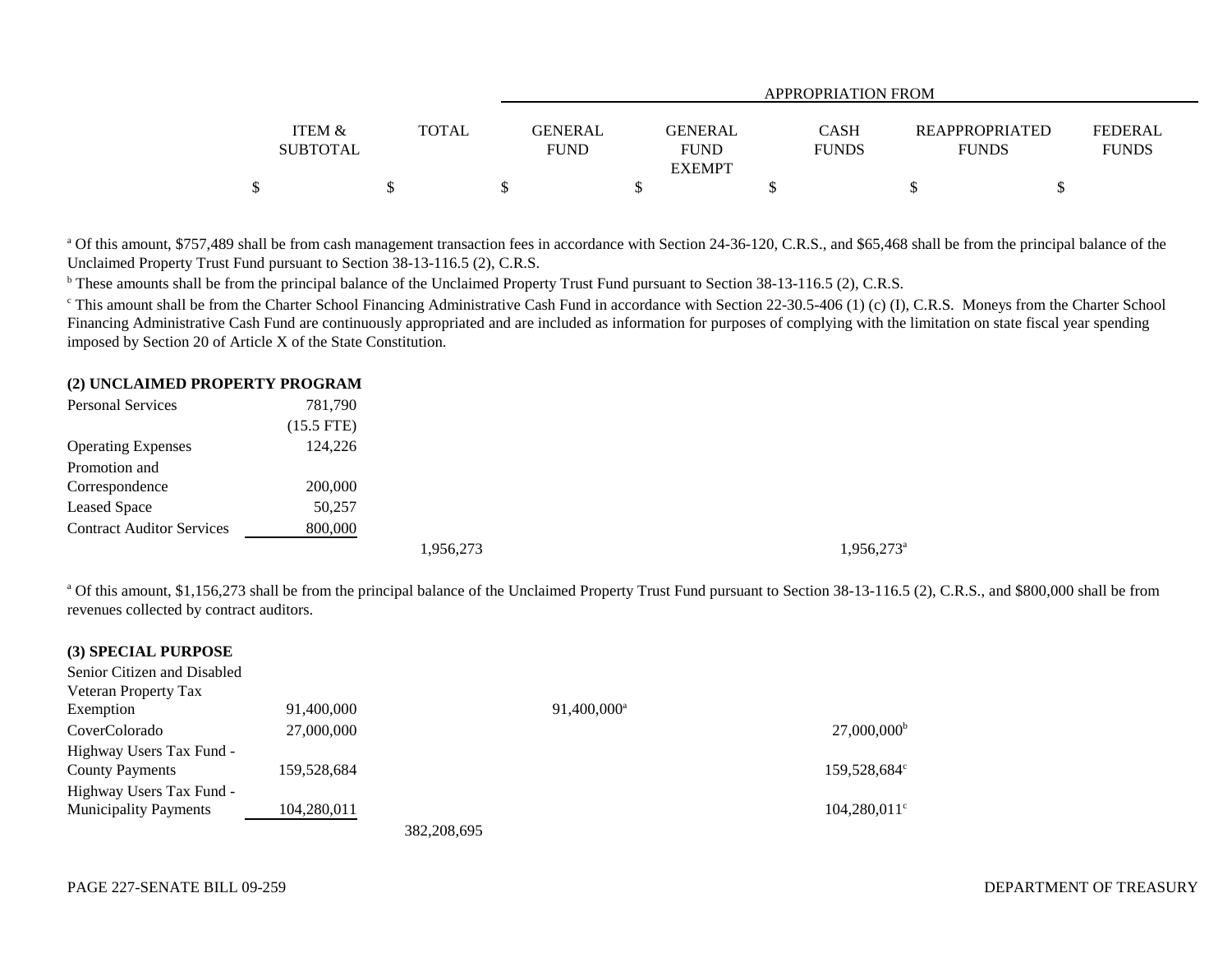|                                      |       | <b>APPROPRIATION FROM</b>     |                                         |                             |                                       |                         |  |
|--------------------------------------|-------|-------------------------------|-----------------------------------------|-----------------------------|---------------------------------------|-------------------------|--|
| <b>ITEM &amp;</b><br><b>SUBTOTAL</b> | TOTAL | <b>GENERAL</b><br><b>FUND</b> | GENERAL<br><b>FUND</b><br><b>EXEMPT</b> | <b>CASH</b><br><b>FUNDS</b> | <b>REAPPROPRIATED</b><br><b>FUNDS</b> | FEDERAL<br><b>FUNDS</b> |  |
|                                      |       |                               |                                         |                             |                                       |                         |  |

<sup>a</sup> Of this amount, \$757,489 shall be from cash management transaction fees in accordance with Section 24-36-120, C.R.S., and \$65,468 shall be from the principal balance of the Unclaimed Property Trust Fund pursuant to Section 38-13-116.5 (2), C.R.S.

<sup>b</sup> These amounts shall be from the principal balance of the Unclaimed Property Trust Fund pursuant to Section 38-13-116.5 (2), C.R.S.

<sup>c</sup> This amount shall be from the Charter School Financing Administrative Cash Fund in accordance with Section 22-30.5-406 (1) (c) (I), C.R.S. Moneys from the Charter School Financing Administrative Cash Fund are continuously appropriated and are included as information for purposes of complying with the limitation on state fiscal year spending imposed by Section 20 of Article X of the State Constitution.

## **(2) UNCLAIMED PROPERTY PROGRAM**

| <b>Personal Services</b>         | 781,790      |  |  |  |
|----------------------------------|--------------|--|--|--|
|                                  | $(15.5$ FTE) |  |  |  |
| <b>Operating Expenses</b>        | 124,226      |  |  |  |
| Promotion and                    |              |  |  |  |
| Correspondence                   | 200,000      |  |  |  |
| <b>Leased Space</b>              | 50,257       |  |  |  |
| <b>Contract Auditor Services</b> | 800,000      |  |  |  |
|                                  |              |  |  |  |

1,956,273<sup>a</sup> 1,956,273<sup>a</sup>

<sup>a</sup> Of this amount, \$1,156,273 shall be from the principal balance of the Unclaimed Property Trust Fund pursuant to Section 38-13-116.5 (2), C.R.S., and \$800,000 shall be from revenues collected by contract auditors.

| (3) SPECIAL PURPOSE          |             |               |                         |                           |
|------------------------------|-------------|---------------|-------------------------|---------------------------|
| Senior Citizen and Disabled  |             |               |                         |                           |
| Veteran Property Tax         |             |               |                         |                           |
| Exemption                    | 91,400,000  |               | 91,400,000 <sup>a</sup> |                           |
| CoverColorado                | 27,000,000  |               |                         | $27,000,000$ <sup>b</sup> |
| Highway Users Tax Fund -     |             |               |                         |                           |
| <b>County Payments</b>       | 159,528,684 |               |                         | 159,528,684°              |
| Highway Users Tax Fund -     |             |               |                         |                           |
| <b>Municipality Payments</b> | 104,280,011 |               |                         | $104,280,011$ °           |
|                              |             | 382, 208, 695 |                         |                           |